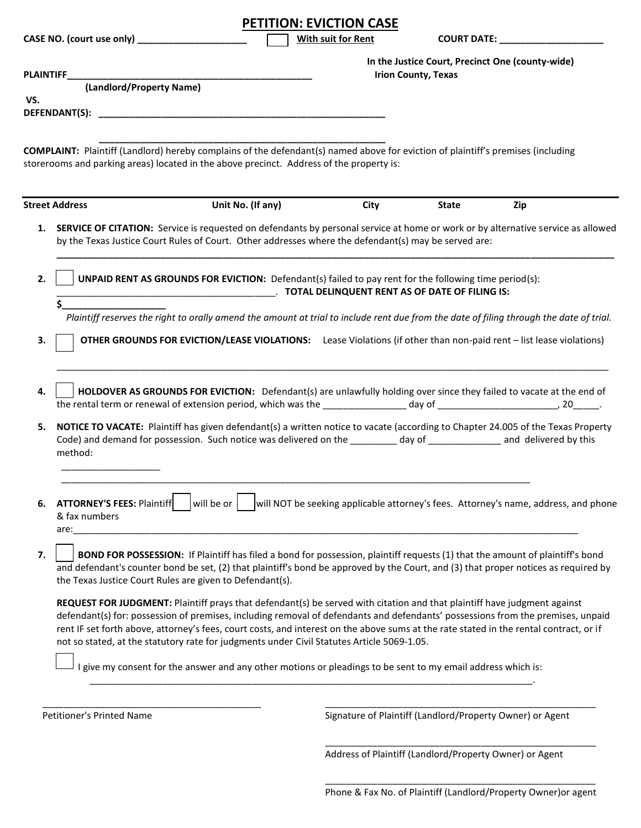|     |                                                                                                                                                                                                                                                                                                                                                                                                                                                                                                     | <b>PETITION: EVICTION CASE</b>                                                      |              |                                                                                                                                                                                                                                |
|-----|-----------------------------------------------------------------------------------------------------------------------------------------------------------------------------------------------------------------------------------------------------------------------------------------------------------------------------------------------------------------------------------------------------------------------------------------------------------------------------------------------------|-------------------------------------------------------------------------------------|--------------|--------------------------------------------------------------------------------------------------------------------------------------------------------------------------------------------------------------------------------|
|     | CASE NO. (court use only) ____________________                                                                                                                                                                                                                                                                                                                                                                                                                                                      | With suit for Rent                                                                  |              | COURT DATE: NAMEL SERVICES AND RESERVE AND RESERVE AND RESERVE AND RESERVE AND RESERVE AND RESERVE A LIMITATION OF A LIMITATION OF A LIMITATION OF A LIMITATION OF A LIMITATION OF A LIMITATION OF A LIMITATION OF A LIMITATIO |
| VS. | (Landlord/Property Name)                                                                                                                                                                                                                                                                                                                                                                                                                                                                            | <b>Irion County, Texas</b>                                                          |              | In the Justice Court, Precinct One (county-wide)                                                                                                                                                                               |
|     | <b>COMPLAINT:</b> Plaintiff (Landlord) hereby complains of the defendant(s) named above for eviction of plaintiff's premises (including<br>storerooms and parking areas) located in the above precinct. Address of the property is:                                                                                                                                                                                                                                                                 |                                                                                     |              |                                                                                                                                                                                                                                |
|     | <b>Street Address</b><br>Unit No. (If any)                                                                                                                                                                                                                                                                                                                                                                                                                                                          | City                                                                                | <b>State</b> | Zip                                                                                                                                                                                                                            |
| 2.  | 1. SERVICE OF CITATION: Service is requested on defendants by personal service at home or work or by alternative service as allowed<br>by the Texas Justice Court Rules of Court. Other addresses where the defendant(s) may be served are:<br>UNPAID RENT AS GROUNDS FOR EVICTION: Defendant(s) failed to pay rent for the following time period(s):                                                                                                                                               |                                                                                     |              |                                                                                                                                                                                                                                |
| 3.  | \$<br>Plaintiff reserves the right to orally amend the amount at trial to include rent due from the date of filing through the date of trial.<br>OTHER GROUNDS FOR EVICTION/LEASE VIOLATIONS: Lease Violations (if other than non-paid rent - list lease violations)                                                                                                                                                                                                                                |                                                                                     |              |                                                                                                                                                                                                                                |
| 4.  | HOLDOVER AS GROUNDS FOR EVICTION: Defendant(s) are unlawfully holding over since they failed to vacate at the end of                                                                                                                                                                                                                                                                                                                                                                                |                                                                                     |              |                                                                                                                                                                                                                                |
| 5.  | NOTICE TO VACATE: Plaintiff has given defendant(s) a written notice to vacate (according to Chapter 24.005 of the Texas Property<br>Code) and demand for possession. Such notice was delivered on the __________ day of ______________ and delivered by this<br>method:                                                                                                                                                                                                                             |                                                                                     |              |                                                                                                                                                                                                                                |
| 6.  | will be or<br><b>ATTORNEY'S FEES: Plaintiff</b><br>& fax numbers<br>are:                                                                                                                                                                                                                                                                                                                                                                                                                            | will NOT be seeking applicable attorney's fees. Attorney's name, address, and phone |              |                                                                                                                                                                                                                                |
| 7.  | BOND FOR POSSESSION: If Plaintiff has filed a bond for possession, plaintiff requests (1) that the amount of plaintiff's bond<br>and defendant's counter bond be set, (2) that plaintiff's bond be approved by the Court, and (3) that proper notices as required by<br>the Texas Justice Court Rules are given to Defendant(s).                                                                                                                                                                    |                                                                                     |              |                                                                                                                                                                                                                                |
|     | REQUEST FOR JUDGMENT: Plaintiff prays that defendant(s) be served with citation and that plaintiff have judgment against<br>defendant(s) for: possession of premises, including removal of defendants and defendants' possessions from the premises, unpaid<br>rent IF set forth above, attorney's fees, court costs, and interest on the above sums at the rate stated in the rental contract, or if<br>not so stated, at the statutory rate for judgments under Civil Statutes Article 5069-1.05. |                                                                                     |              |                                                                                                                                                                                                                                |
|     | I give my consent for the answer and any other motions or pleadings to be sent to my email address which is:                                                                                                                                                                                                                                                                                                                                                                                        |                                                                                     |              |                                                                                                                                                                                                                                |
|     | Petitioner's Printed Name                                                                                                                                                                                                                                                                                                                                                                                                                                                                           | Signature of Plaintiff (Landlord/Property Owner) or Agent                           |              |                                                                                                                                                                                                                                |

Address of Plaintiff (Landlord/Property Owner) or Agent

\_\_\_\_\_\_\_\_\_\_\_\_\_\_\_\_\_\_\_\_\_\_\_\_\_\_\_\_\_\_\_\_\_\_\_\_\_\_\_\_\_\_\_\_\_\_\_\_\_\_\_\_